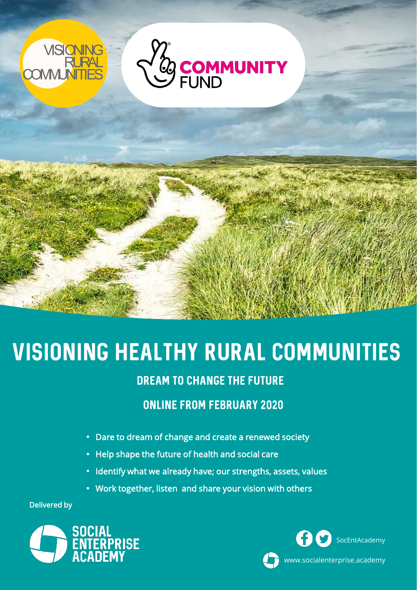

# Visioning healthy rural communities

## DREAM TO CHANGE THE FUTURE

# online from february 2020

- Dare to dream of change and create a renewed society
- Help shape the future of health and social care
- Identify what we already have; our strengths, assets, values
- Work together, listen and share your vision with others

Delivered by





www.socialenterprise.academy